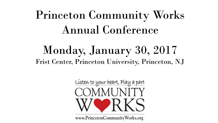# Princeton Community Works Annual Conference

## Monday, January 30, 2017 Frist Center, Princeton University, Princeton, NJ

Listen to your heart, Play a part COMMUNITY

www.PrincetonCommunityWorks.org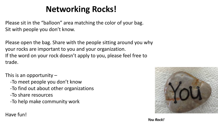### **Networking Rocks!**

Please sit in the "balloon" area matching the color of your bag. Sit with people you don't know.

Please open the bag. Share with the people sitting around you why your rocks are important to you and your organization. If the word on your rock doesn't apply to you, please feel free to trade.

This is an opportunity  $-$ 

- -To meet people you don't know
- -To find out about other organizations
- -To share resources

-To help make community work

#### Have fun!



*You Rock!*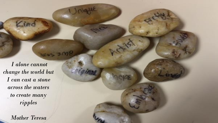*I alone cannot change the world but I can cast a stone across the waters to create many ripples* 

ind

*Mother Teresa*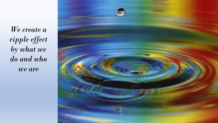*We create a ripple effect by what we do and who we are*

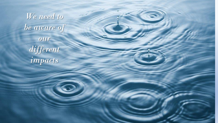*We need to be aware of our different impacts*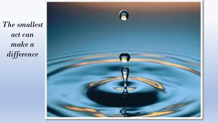*The smallest act can make a difference*

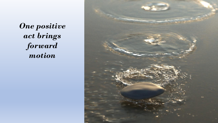*One positive act brings forward motion* 

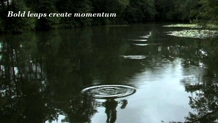#### *Bold leaps create momentum*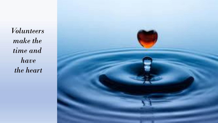*Volunteers make the time and have the heart*

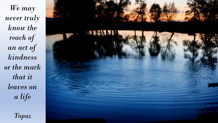*We may never truly know the reach of an act of kindness or the mark that it leaves on a life*



*Topaz*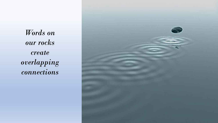*Words on our rocks create overlapping connections*

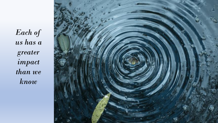*Each of us has a greater impact than we know*